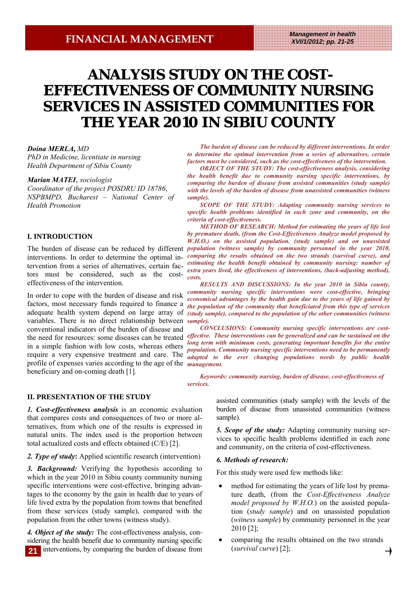# **ANALYSIS STUDY ON THE COST-EFFECTIVENESS OF COMMUNITY NURSING SERVICES IN ASSISTED COMMUNITIES FOR SERVICES IN ASSISTED THE YEAR 2010 IN SIBIU COUNTY**

### *Doina MERLA***,** *MD*

*PhD in Medicine, licentiate in nursing Health Department of Sibiu County* 

*Marian MATEI*, *sociologist*

*Coordinator of the project POSDRU ID 18786*, *NSPBMPD, Bucharest – National Center of Health Promotion* 

## **I. INTRODUCTION**

interventions. In order to determine the optimal intervention from a series of alternatives, certain factors must be considered, such as the costeffectiveness of the intervention.

In order to cope with the burden of disease and risk factors, most necessary funds required to finance a variables. There is no direct relationship between *sample).*  conventional indicators of the burden of disease and in a simple fashion with low costs, whereas others profile of expenses varies according to the age of the *management.*  beneficiary and on-coming death [1].

## **II. PRESENTATION OF THE STUDY**

*1. Cost-effectiveness analysis* is an economic evaluation that compares costs and consequences of two or more alternatives, from which one of the results is expressed in natural units. The index used is the proportion between total actualized costs and effects obtained (C/E) [2].

*2. Type of study***:** Applied scientific research (intervention)

*3. Background:* Verifying the hypothesis according to which in the year 2010 in Sibiu county community nursing specific interventions were cost-effective, bringing advantages to the economy by the gain in health due to years of life lived extra by the population from towns that benefited from these services (study sample), compared with the population from the other towns (witness study).

*4. Object of the study:* The cost-effectiveness analysis, considering the health benefit due to community nursing specific interventions, by comparing the burden of disease from **21**

*The burden of disease can be reduced by different interventions. In order to determine the optimal intervention from a series of alternatives, certain factors must be considered, such as the cost-effectiveness of the intervention.* 

*OBJECT OF THE STUDY: The cost-effectiveness analysis, considering the health benefit due to community nursing specific interventions, by comparing the burden of disease from assisted communities (study sample) with the levels of the burden of disease from unassisted communities (witness sample).* 

*SCOPE OF THE STUDY: Adapting community nursing services to specific health problems identified in each zone and community, on the criteria of cost-effectiveness.* 

The burden of disease can be reduced by different *population (witness sample) by community personnel in the year 2010, METHOD OF RESEARCH: Method for estimating the years of life lost by premature death, (from the Cost-Effectiveness Analyze model proposed by W.H.O.*) on the assisted population. (study sample) and on unassisted *comparing the results obtained on the two strands (survival curve), and estimating the health benefit obtained by community nursing: number of extra years lived, the effectiveness of interventions, (back-adjusting method), costs.* 

adequate health system depend on large array of *(study sample), compared to the population of the other communities (witness RESULTS AND DISCUSSIONS: In the year 2010 in Sibiu county, community nursing specific interventions were cost-effective, bringing economical advantages by the health gain due to the years of life gained by the population of the community that beneficiated from this type of services* 

the need for resources: some diseases can be treated *effective. These interventions can be generalized and can be sustained on the*  require a very expensive treatment and care. The *adapted to the ever changing populations needs by public health CONCLUSIONS: Community nursing specific interventions are costlong term with minimum costs, generating important benefits for the entire population. Community nursing specific interventions need to be permanently* 

> *Keywords: community nursing, burden of disease, cost-effectiveness of services.*

> > assisted communities (study sample) with the levels of the burden of disease from unassisted communities (witness sample).

> > *5. Scope of the study:* Adapting community nursing services to specific health problems identified in each zone and community, on the criteria of cost-effectiveness.

#### *6. Methods of research:*

For this study were used few methods like:

- method for estimating the years of life lost by premature death, (from the *Cost-Effectiveness Analyze model proposed by W.H.O.*) on the assisted population (*study sample*) and on unassisted population (*witness sample*) by community personnel in the year 2010 [2];
- comparing the results obtained on the two strands (*survival curve*) [2];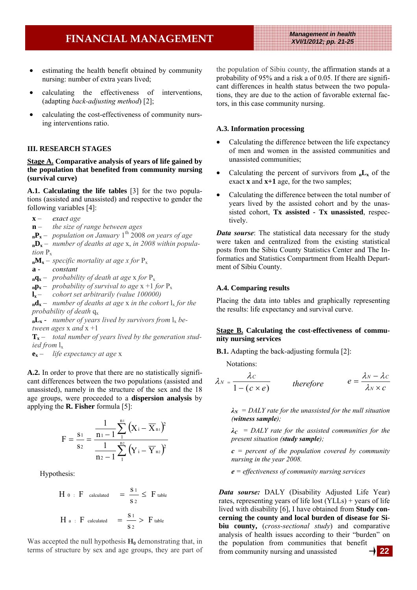# **FINANCIAL MANAGEMENT** *Management in health*

*XVI/1/2012; pp. 21-25* 

- estimating the health benefit obtained by community nursing: number of extra years lived;
- calculating the effectiveness of interventions, (adapting *back-adjusting method*) [2];
- calculating the cost-effectiveness of community nursing interventions ratio.

#### **III. RESEARCH STAGES**

### **Stage A. Comparative analysis of years of life gained by the population that benefited from community nursing (survival curve)**

**A.1. Calculating the life tables** [3] for the two populations (assisted and unassisted) and respective to gender the following variables [4]:

- **x**  *exact age*
- **n**  *the size of range between ages*
- **nPx** *population on January* 1th 2008 *on years of age*
- **nDx** *number of deaths at age* x, *in 2008 within population* Px
- $_{\rm n}$  $M_{\rm x}$  *specific mortality at age x for*  $P_{\rm x}$
- **a** *constant*
- $_{\text{n}}\mathbf{q}_{\text{x}}$  *probability of death at age* x *for*  $P_{\text{x}}$
- $_{\textbf{n}}\mathbf{p}_{\textbf{x}}$  *probability of survival to age* x +1 *for*  $P_{\textbf{x}}$
- **lx**  *cohort set arbitrarily (value 100000)*

 $_{n}d_{x}$  – *number of deaths at age x in the cohort*  $l_{x}$  *for the probability of death*  $q_x$ 

 $_{n}L_{x}$  - *number of years lived by survivors from*  $l_{x}$  *between ages* x *and* x +1

**Tx** – *total number of years lived by the generation studied from* lx

**ex** – *life expectancy at age* x

**A.2.** In order to prove that there are no statistically significant differences between the two populations (assisted and unassisted), namely in the structure of the sex and the 18 age groups, were proceeded to a **dispersion analysis** by applying the **R. Fisher** formula [5]:

$$
F = \frac{s_1}{s_2} = \frac{\frac{1}{n_1 - 1} \sum_{1}^{n_1} (X_i - \overline{X}_{n_1})^2}{\frac{1}{n_2 - 1} \sum_{1}^{n_2} (Y_i - \overline{Y}_{n_2})^2}
$$

Hypothesis:

H 0 : F calculated 
$$
=
$$
  $\frac{S_1}{S_2}$   $\le$  F table  
H a : F calculated  $=$   $\frac{S_1}{S_2}$  > F table

Was accepted the null hypothesis  $H_0$  demonstrating that, in terms of structure by sex and age groups, they are part of the population of Sibiu county, the affirmation stands at a probability of 95% and a risk a of 0.05. If there are significant differences in health status between the two populations, they are due to the action of favorable external factors, in this case community nursing.

#### **A.3. Information processing**

- Calculating the difference between the life expectancy of men and women in the assisted communities and unassisted communities;
- Calculating the percent of survivors from  $nL_x$  of the exact **x** and **x+1** age, for the two samples;
- Calculating the difference between the total number of years lived by the assisted cohort and by the unassisted cohort, **Tx assisted - Tx unassisted**, respectively.

*Data sourse*: The statistical data necessary for the study were taken and centralized from the existing statistical posts from the Sibiu County Statistics Center and The Informatics and Statistics Compartment from Health Department of Sibiu County.

#### **A.4. Comparing results**

Placing the data into tables and graphically representing the results: life expectancy and survival curve.

### **Stage B. Calculating the cost-effectiveness of community nursing services**

**B.1.** Adapting the back-adjusting formula [2]:

Notations:

$$
\lambda_N = \frac{\lambda_C}{1 - (c \times e)} \qquad \text{therefore} \qquad e = \frac{\lambda_N - \lambda_C}{\lambda_N \times c}
$$

 $\lambda_N$  = DALY rate for the unassisted for the null situation *(witness sample);* 

 $\lambda_c$  = DALY rate for the assisted communities for the *present situation (study sample);* 

*c = percent of the population covered by community nursing in the year 2008.* 

*e = effectiveness of community nursing services* 

*Data sourse:* DALY (Disability Adjusted Life Year) rates, representing years of life lost (YLLs) + years of life lived with disability [6], I have obtained from **Study concerning the county and local burden of disease for Sibiu county,** (*cross-sectional study*) and comparative analysis of health issues according to their "burden" on the population from communities that benefit from community nursing and unassisted **22**

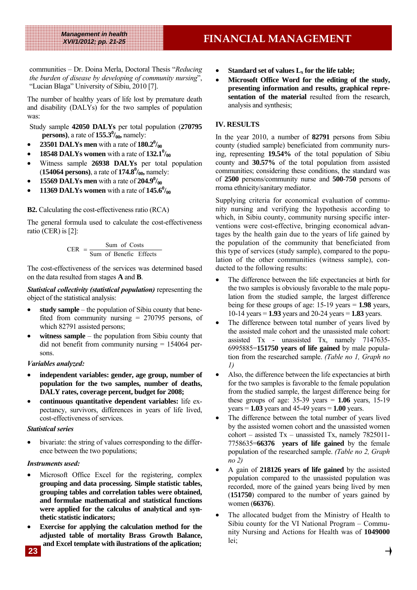communities – Dr. Doina Merla, Doctoral Thesis "*Reducing the burden of disease by developing of community nursing*", "Lucian Blaga" University of Sibiu, 2010 [7].

The number of healthy years of life lost by premature death and disability (DALYs) for the two samples of population was:

Study sample **42050 DALYs** per total population (**270795 persons**), a rate of  $155.3\frac{0}{00}$ , namely:

- **23501 DALYs men** with a rate of  $180.2\frac{0}{00}$
- **18548 DALYs women** with a rate of  $132.1^{\circ}\mathrm{/}_{00}$
- Witness sample **26938 DALYs** per total population (**154064 persons**), a rate of **174.8**<sup>0</sup>/<sub>00</sub>, namely:
- **15569 DALYs men** with a rate of  $204.9\%$
- **11369 DALYs women** with a rate of  $145.6\%$

## **B2.** Calculating the cost-effectiveness ratio (RCA)

The general formula used to calculate the cost-effectiveness ratio (CER) is [2]:

$$
CER = \frac{Sum of Costs}{Sum of Benefic Effects}
$$

The cost-effectiveness of the services was determined based on the data resulted from stages **A** and **B**.

*Statistical collectivity (statistical population)* representing the object of the statistical analysis:

- study sample the population of Sibiu county that benefited from community nursing = 270795 persons, of which 82791 assisted persons;
- **witness sample** the population from Sibiu county that did not benefit from community nursing = 154064 persons.

## *Variables analyzed:*

- **independent variables: gender, age group, number of population for the two samples, number of deaths, DALY rates, coverage percent, budget for 2008;**
- **continuous quantitative dependent variables:** life expectancy, survivors, differences in years of life lived, cost-effectiveness of services.

## *Statistical series*

bivariate: the string of values corresponding to the difference between the two populations;

## *Instruments used:*

- Microsoft Office Excel for the registering, complex **grouping and data processing. Simple statistic tables, grouping tables and correlation tables were obtained, and formulae mathematical and statistical functions were applied for the calculus of analytical and synthetic statistic indicators;**
- **Exercise for applying the calculation method for the adjusted table of mortality Brass Growth Balance, and Excel template with ilustrations of the aplication;**
- **Standard set of values**  $L_x$  **for the life table;**
- **Microsoft Office Word for the editing of the study, presenting information and results, graphical representation of the material** resulted from the research, analysis and synthesis;

## **IV. RESULTS**

In the year 2010, a number of **82791** persons from Sibiu county (studied sample) beneficiated from community nursing, representing **19.54%** of the total population of Sibiu county and **30.57%** of the total population from assisted communities; considering these conditions, the standard was of **2500** persons/community nurse and **500-750** persons of rroma ethnicity/sanitary mediator.

Supplying criteria for economical evaluation of community nursing and verifying the hypothesis according to which, in Sibiu county, community nursing specific interventions were cost-effective, bringing economical advantages by the health gain due to the years of life gained by the population of the community that beneficiated from this type of services (study sample), compared to the population of the other communities (witness sample), conducted to the following results:

- The difference between the life expectancies at birth for the two samples is obviously favorable to the male population from the studied sample, the largest difference being for these groups of age:  $15-19$  years  $= 1.98$  years, 10-14 years = **1.93** years and 20-24 years = **1.83** years.
- The difference between total number of years lived by the assisted male cohort and the unassisted male cohort: assisted Tx - unassisted Tx, namely 7147635- 6995885=**151750 years of life gained** by male population from the researched sample. *(Table no 1, Graph no 1)*
- Also, the difference between the life expectancies at birth for the two samples is favorable to the female population from the studied sample, the largest difference being for these groups of age: 35-39 years = **1.06** years, 15-19 years  $= 1.03$  years and  $45-49$  years  $= 1.00$  years.
- The difference between the total number of years lived by the assisted women cohort and the unassisted women cohort – assisted Tx – unassisted Tx, namely  $7825011$ -7758635=**66376 years of life gained** by the female population of the researched sample. *(Table no 2, Graph no 2)*
- A gain of **218126 years of life gained** by the assisted population compared to the unassisted population was recorded, more of the gained years being lived by men (**151750**) compared to the number of years gained by women (**66376**).
- The allocated budget from the Ministry of Health to Sibiu county for the VI National Program – Community Nursing and Actions for Health was of **1049000** lei;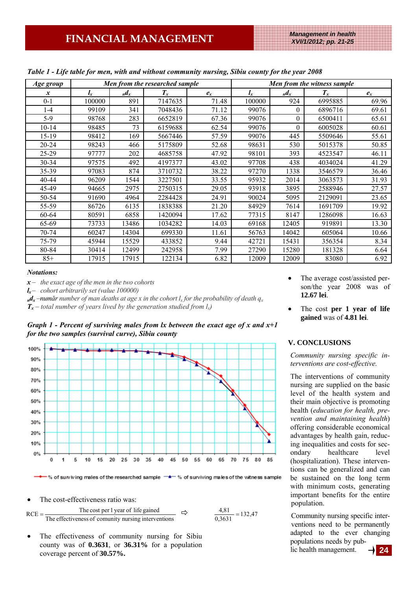| Age group        |         |                 | Men from the researched sample |       | Men from the witness sample |                |         |       |
|------------------|---------|-----------------|--------------------------------|-------|-----------------------------|----------------|---------|-------|
| $\boldsymbol{x}$ | $l_{x}$ | $n\mathbf{d}_x$ | $T_{x}$                        | $e_x$ | $l_{x}$                     | $_n d_x$       | $T_{x}$ | $e_x$ |
| $0 - 1$          | 100000  | 891             | 7147635                        | 71.48 | 100000                      | 924            | 6995885 | 69.96 |
| $1-4$            | 99109   | 341             | 7048436                        | 71.12 | 99076                       | $\Omega$       | 6896716 | 69.61 |
| $5-9$            | 98768   | 283             | 6652819                        | 67.36 | 99076                       | $\overline{0}$ | 6500411 | 65.61 |
| 10-14            | 98485   | 73              | 6159688                        | 62.54 | 99076                       | $\theta$       | 6005028 | 60.61 |
| 15-19            | 98412   | 169             | 5667446                        | 57.59 | 99076                       | 445            | 5509646 | 55.61 |
| $20 - 24$        | 98243   | 466             | 5175809                        | 52.68 | 98631                       | 530            | 5015378 | 50.85 |
| $25 - 29$        | 97777   | 202             | 4685758                        | 47.92 | 98101                       | 393            | 4523547 | 46.11 |
| 30-34            | 97575   | 492             | 4197377                        | 43.02 | 97708                       | 438            | 4034024 | 41.29 |
| 35-39            | 97083   | 874             | 3710732                        | 38.22 | 97270                       | 1338           | 3546579 | 36.46 |
| 40-44            | 96209   | 1544            | 3227501                        | 33.55 | 95932                       | 2014           | 3063573 | 31.93 |
| 45-49            | 94665   | 2975            | 2750315                        | 29.05 | 93918                       | 3895           | 2588946 | 27.57 |
| 50-54            | 91690   | 4964            | 2284428                        | 24.91 | 90024                       | 5095           | 2129091 | 23.65 |
| 55-59            | 86726   | 6135            | 1838388                        | 21.20 | 84929                       | 7614           | 1691709 | 19.92 |
| 60-64            | 80591   | 6858            | 1420094                        | 17.62 | 77315                       | 8147           | 1286098 | 16.63 |
| 65-69            | 73733   | 13486           | 1034282                        | 14.03 | 69168                       | 12405          | 919891  | 13.30 |
| 70-74            | 60247   | 14304           | 699330                         | 11.61 | 56763                       | 14042          | 605064  | 10.66 |
| 75-79            | 45944   | 15529           | 433852                         | 9.44  | 42721                       | 15431          | 356354  | 8.34  |
| 80-84            | 30414   | 12499           | 242958                         | 7.99  | 27290                       | 15280          | 181328  | 6.64  |
| $85+$            | 17915   | 17915           | 122134                         | 6.82  | 12009                       | 12009          | 83080   | 6.92  |

*Table 1 - Life table for men, with and without community nursing, Sibiu county for the year 2008* 

### *Notations:*

*x – the exact age of the men in the two cohorts* 

 $l_x$  *– cohort arbitrarily set (value 100000)* 

 $n_d$  $d_x$  –*num* $d$ *r number of man deaths at age x in the cohort l<sub>x</sub> for the probability of death*  $q_x$ 

 $T_x$  – total number of years lived by the generation studied from  $l_x$ )





 $-$  % of surviving males of the researched sample  $\xrightarrow{\quad}$  % of surviving males of the witness sample

The cost-effectiveness ratio was:

The effectiveness of comunity nursing interventions RCE =  $\frac{\text{The cost per 1 year of life gained}}{\Rightarrow}$  $\frac{4,81}{0,3631}$  =

The effectiveness of community nursing for Sibiu county was of **0.3631**, or **36.31%** for a population coverage percent of **30.57%.** 

- The average cost/assisted person/the year 2008 was of **12.67 lei**.
- The cost **per 1 year of life gained** was of **4.81 lei**.

## **V. CONCLUSIONS**

*Community nursing specific interventions are cost-effective.* 

The interventions of community nursing are supplied on the basic level of the health system and their main objective is promoting health (*education for health, prevention and maintaining health*) offering considerable economical advantages by health gain, reducing inequalities and costs for secondary healthcare level (hospitalization). These interventions can be generalized and can be sustained on the long term with minimum costs, generating important benefits for the entire population.

Community nursing specific interventions need to be permanently adapted to the ever changing populations needs by public health management.